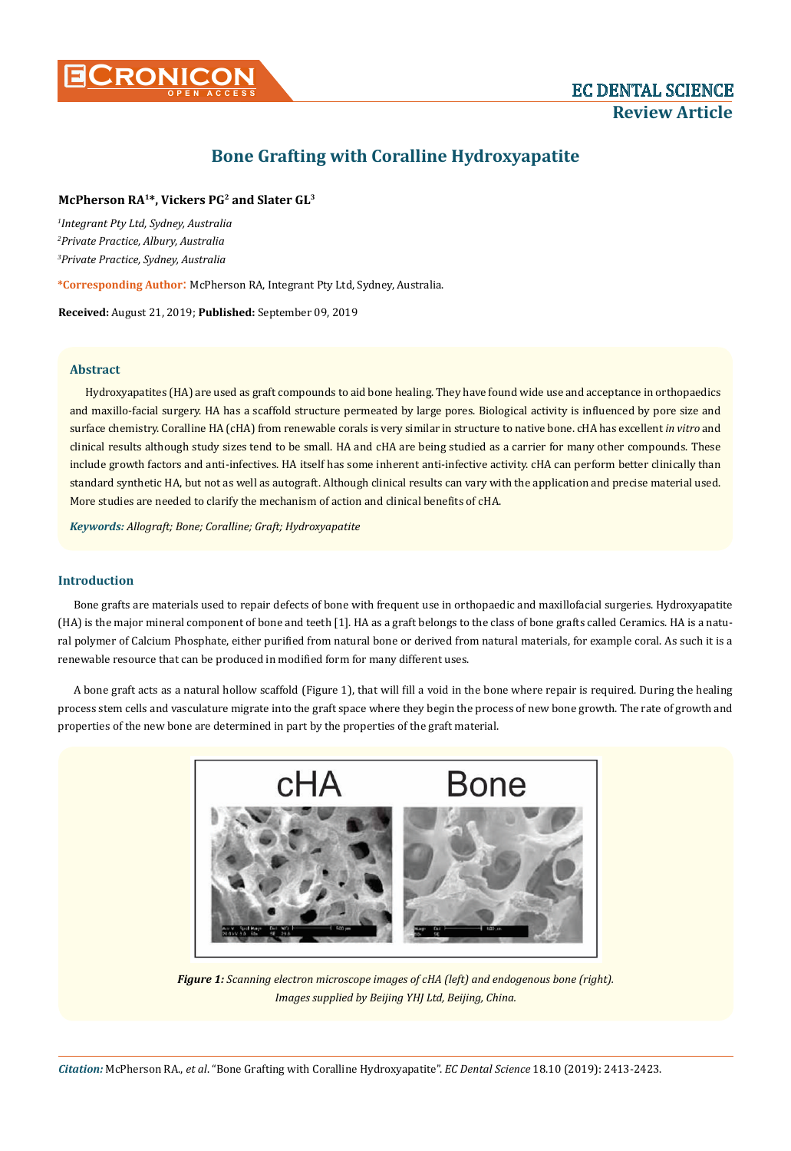

# **Bone Grafting with Coralline Hydroxyapatite**

# **McPherson RA1\*, Vickers PG2 and Slater GL3**

*1 Integrant Pty Ltd, Sydney, Australia 2 Private Practice, Albury, Australia 3 Private Practice, Sydney, Australia* 

**\*Corresponding Author**: McPherson RA, Integrant Pty Ltd, Sydney, Australia.

**Received:** August 21, 2019; **Published:** September 09, 2019

# **Abstract**

Hydroxyapatites (HA) are used as graft compounds to aid bone healing. They have found wide use and acceptance in orthopaedics and maxillo-facial surgery. HA has a scaffold structure permeated by large pores. Biological activity is influenced by pore size and surface chemistry. Coralline HA (cHA) from renewable corals is very similar in structure to native bone. cHA has excellent *in vitro* and clinical results although study sizes tend to be small. HA and cHA are being studied as a carrier for many other compounds. These include growth factors and anti-infectives. HA itself has some inherent anti-infective activity. cHA can perform better clinically than standard synthetic HA, but not as well as autograft. Although clinical results can vary with the application and precise material used. More studies are needed to clarify the mechanism of action and clinical benefits of cHA.

*Keywords: Allograft; Bone; Coralline; Graft; Hydroxyapatite*

# **Introduction**

Bone grafts are materials used to repair defects of bone with frequent use in orthopaedic and maxillofacial surgeries. Hydroxyapatite (HA) is the major mineral component of bone and teeth [1]. HA as a graft belongs to the class of bone grafts called Ceramics. HA is a natural polymer of Calcium Phosphate, either purified from natural bone or derived from natural materials, for example coral. As such it is a renewable resource that can be produced in modified form for many different uses.

A bone graft acts as a natural hollow scaffold (Figure 1), that will fill a void in the bone where repair is required. During the healing process stem cells and vasculature migrate into the graft space where they begin the process of new bone growth. The rate of growth and properties of the new bone are determined in part by the properties of the graft material.



*Figure 1: Scanning electron microscope images of cHA (left) and endogenous bone (right). Images supplied by Beijing YHJ Ltd, Beijing, China.*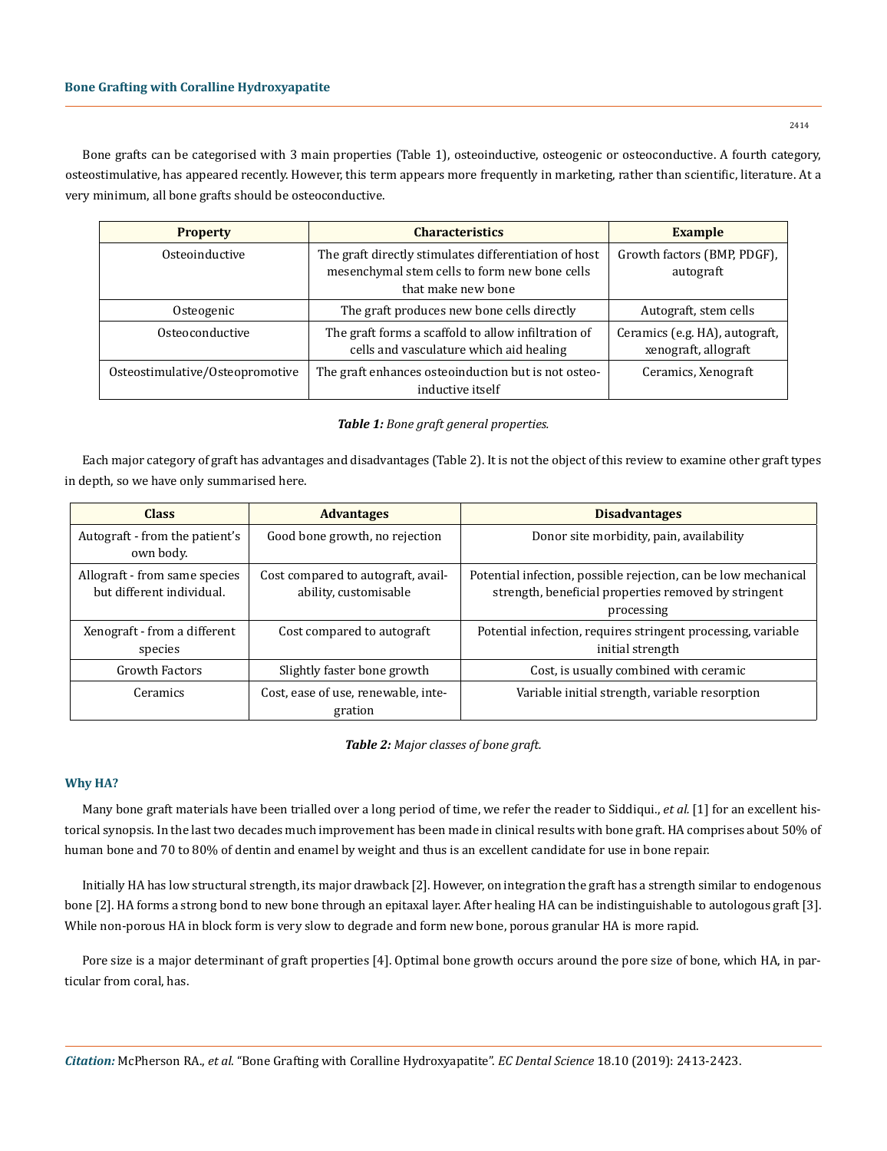Bone grafts can be categorised with 3 main properties (Table 1), osteoinductive, osteogenic or osteoconductive. A fourth category, osteostimulative, has appeared recently. However, this term appears more frequently in marketing, rather than scientific, literature. At a very minimum, all bone grafts should be osteoconductive.

| <b>Property</b>                 | <b>Characteristics</b>                                                                                                       | <b>Example</b>                                         |
|---------------------------------|------------------------------------------------------------------------------------------------------------------------------|--------------------------------------------------------|
| Osteoinductive                  | The graft directly stimulates differentiation of host<br>mesenchymal stem cells to form new bone cells<br>that make new bone | Growth factors (BMP, PDGF),<br>autograft               |
| Osteogenic                      | The graft produces new bone cells directly                                                                                   | Autograft, stem cells                                  |
| Osteoconductive                 | The graft forms a scaffold to allow infiltration of<br>cells and vasculature which aid healing                               | Ceramics (e.g. HA), autograft,<br>xenograft, allograft |
| Osteostimulative/Osteopromotive | The graft enhances osteoinduction but is not osteo-<br>inductive itself                                                      | Ceramics, Xenograft                                    |

# *Table 1: Bone graft general properties.*

Each major category of graft has advantages and disadvantages (Table 2). It is not the object of this review to examine other graft types in depth, so we have only summarised here.

| <b>Class</b>                                               | <b>Advantages</b>                                           | <b>Disadvantages</b>                                                                                                                 |
|------------------------------------------------------------|-------------------------------------------------------------|--------------------------------------------------------------------------------------------------------------------------------------|
| Autograft - from the patient's<br>own body.                | Good bone growth, no rejection                              | Donor site morbidity, pain, availability                                                                                             |
| Allograft - from same species<br>but different individual. | Cost compared to autograft, avail-<br>ability, customisable | Potential infection, possible rejection, can be low mechanical<br>strength, beneficial properties removed by stringent<br>processing |
| Xenograft - from a different<br>species                    | Cost compared to autograft                                  | Potential infection, requires stringent processing, variable<br>initial strength                                                     |
| <b>Growth Factors</b>                                      | Slightly faster bone growth                                 | Cost, is usually combined with ceramic                                                                                               |
| Ceramics                                                   | Cost, ease of use, renewable, inte-<br>gration              | Variable initial strength, variable resorption                                                                                       |

*Table 2: Major classes of bone graft.*

#### **Why HA?**

Many bone graft materials have been trialled over a long period of time, we refer the reader to Siddiqui., *et al.* [1] for an excellent historical synopsis. In the last two decades much improvement has been made in clinical results with bone graft. HA comprises about 50% of human bone and 70 to 80% of dentin and enamel by weight and thus is an excellent candidate for use in bone repair.

Initially HA has low structural strength, its major drawback [2]. However, on integration the graft has a strength similar to endogenous bone [2]. HA forms a strong bond to new bone through an epitaxal layer. After healing HA can be indistinguishable to autologous graft [3]. While non-porous HA in block form is very slow to degrade and form new bone, porous granular HA is more rapid.

Pore size is a major determinant of graft properties [4]. Optimal bone growth occurs around the pore size of bone, which HA, in particular from coral, has.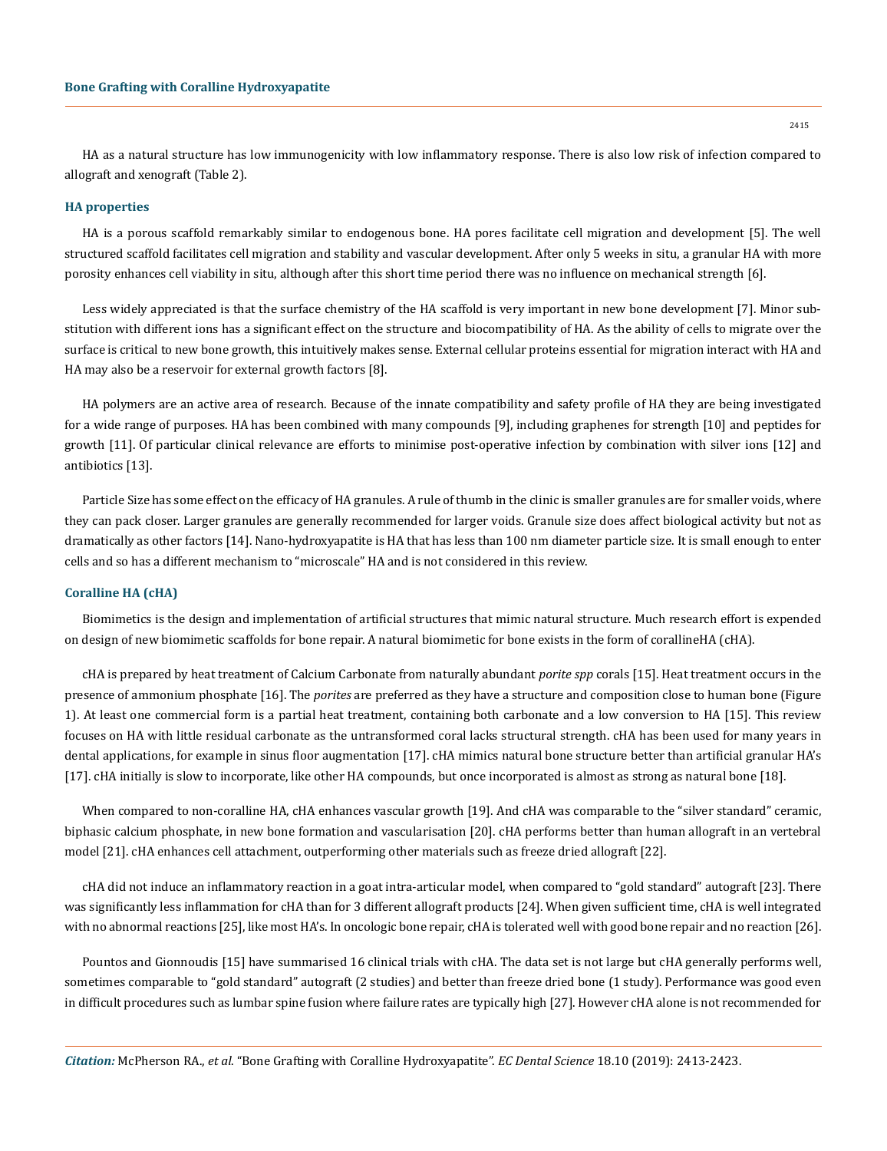HA as a natural structure has low immunogenicity with low inflammatory response. There is also low risk of infection compared to allograft and xenograft (Table 2).

#### **HA properties**

HA is a porous scaffold remarkably similar to endogenous bone. HA pores facilitate cell migration and development [5]. The well structured scaffold facilitates cell migration and stability and vascular development. After only 5 weeks in situ, a granular HA with more porosity enhances cell viability in situ, although after this short time period there was no influence on mechanical strength [6].

Less widely appreciated is that the surface chemistry of the HA scaffold is very important in new bone development [7]. Minor substitution with different ions has a significant effect on the structure and biocompatibility of HA. As the ability of cells to migrate over the surface is critical to new bone growth, this intuitively makes sense. External cellular proteins essential for migration interact with HA and HA may also be a reservoir for external growth factors [8].

HA polymers are an active area of research. Because of the innate compatibility and safety profile of HA they are being investigated for a wide range of purposes. HA has been combined with many compounds [9], including graphenes for strength [10] and peptides for growth [11]. Of particular clinical relevance are efforts to minimise post-operative infection by combination with silver ions [12] and antibiotics [13].

Particle Size has some effect on the efficacy of HA granules. A rule of thumb in the clinic is smaller granules are for smaller voids, where they can pack closer. Larger granules are generally recommended for larger voids. Granule size does affect biological activity but not as dramatically as other factors [14]. Nano-hydroxyapatite is HA that has less than 100 nm diameter particle size. It is small enough to enter cells and so has a different mechanism to "microscale" HA and is not considered in this review.

#### **Coralline HA (cHA)**

Biomimetics is the design and implementation of artificial structures that mimic natural structure. Much research effort is expended on design of new biomimetic scaffolds for bone repair. A natural biomimetic for bone exists in the form of corallineHA (cHA).

cHA is prepared by heat treatment of Calcium Carbonate from naturally abundant *porite spp* corals [15]. Heat treatment occurs in the presence of ammonium phosphate [16]. The *porites* are preferred as they have a structure and composition close to human bone (Figure 1). At least one commercial form is a partial heat treatment, containing both carbonate and a low conversion to HA [15]. This review focuses on HA with little residual carbonate as the untransformed coral lacks structural strength. cHA has been used for many years in dental applications, for example in sinus floor augmentation [17]. cHA mimics natural bone structure better than artificial granular HA's [17]. cHA initially is slow to incorporate, like other HA compounds, but once incorporated is almost as strong as natural bone [18].

When compared to non-coralline HA, cHA enhances vascular growth [19]. And cHA was comparable to the "silver standard" ceramic, biphasic calcium phosphate, in new bone formation and vascularisation [20]. cHA performs better than human allograft in an vertebral model [21]. cHA enhances cell attachment, outperforming other materials such as freeze dried allograft [22].

cHA did not induce an inflammatory reaction in a goat intra-articular model, when compared to "gold standard" autograft [23]. There was significantly less inflammation for cHA than for 3 different allograft products [24]. When given sufficient time, cHA is well integrated with no abnormal reactions [25], like most HA's. In oncologic bone repair, cHA is tolerated well with good bone repair and no reaction [26].

Pountos and Gionnoudis [15] have summarised 16 clinical trials with cHA. The data set is not large but cHA generally performs well, sometimes comparable to "gold standard" autograft (2 studies) and better than freeze dried bone (1 study). Performance was good even in difficult procedures such as lumbar spine fusion where failure rates are typically high [27]. However cHA alone is not recommended for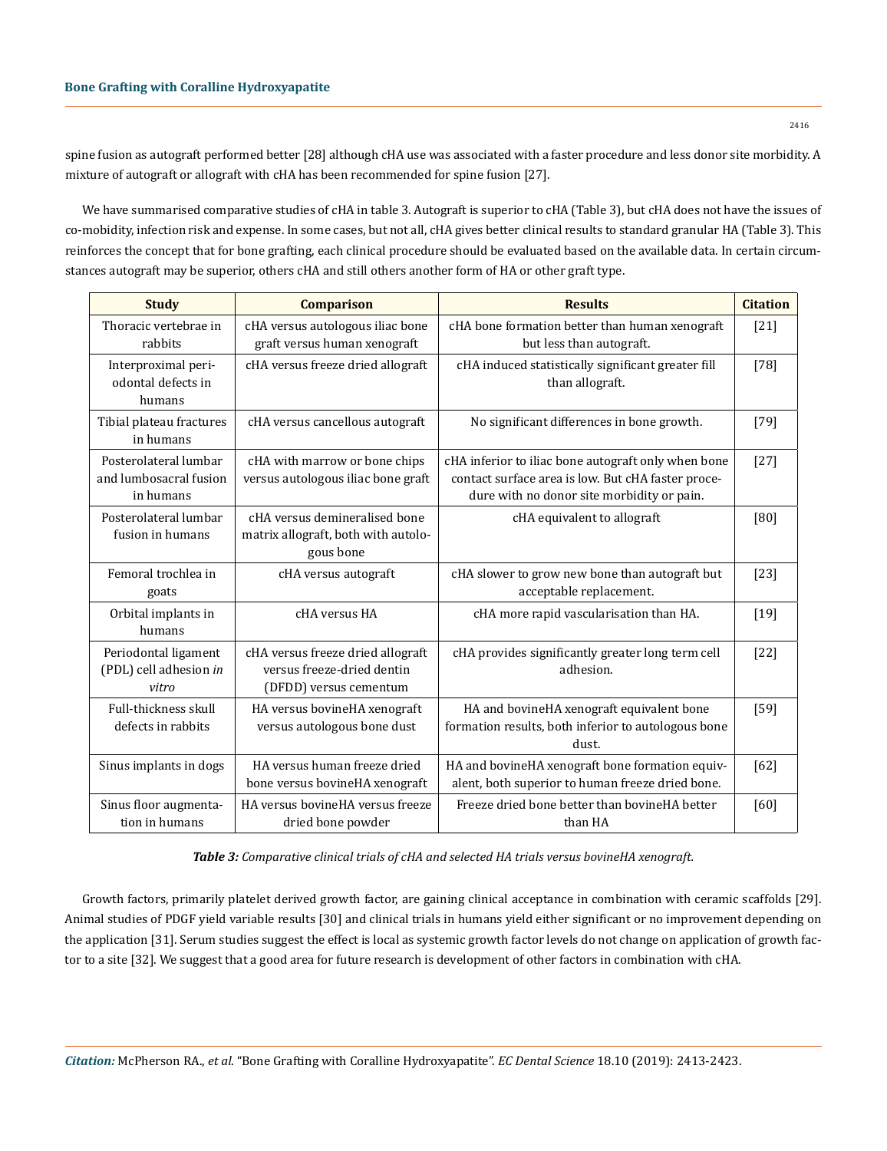spine fusion as autograft performed better [28] although cHA use was associated with a faster procedure and less donor site morbidity. A mixture of autograft or allograft with cHA has been recommended for spine fusion [27].

We have summarised comparative studies of cHA in table 3. Autograft is superior to cHA (Table 3), but cHA does not have the issues of co-mobidity, infection risk and expense. In some cases, but not all, cHA gives better clinical results to standard granular HA (Table 3). This reinforces the concept that for bone grafting, each clinical procedure should be evaluated based on the available data. In certain circumstances autograft may be superior, others cHA and still others another form of HA or other graft type.

| <b>Study</b>                                                 | <b>Comparison</b>                                                                         | <b>Results</b>                                                                                                                                          | <b>Citation</b> |
|--------------------------------------------------------------|-------------------------------------------------------------------------------------------|---------------------------------------------------------------------------------------------------------------------------------------------------------|-----------------|
| Thoracic vertebrae in<br>rabbits                             | cHA versus autologous iliac bone<br>graft versus human xenograft                          | cHA bone formation better than human xenograft<br>but less than autograft.                                                                              | $[21]$          |
| Interproximal peri-<br>odontal defects in<br>humans          | cHA versus freeze dried allograft                                                         | cHA induced statistically significant greater fill<br>than allograft.                                                                                   | $[78]$          |
| Tibial plateau fractures<br>in humans                        | cHA versus cancellous autograft                                                           | No significant differences in bone growth.                                                                                                              | $[79]$          |
| Posterolateral lumbar<br>and lumbosacral fusion<br>in humans | cHA with marrow or bone chips<br>versus autologous iliac bone graft                       | cHA inferior to iliac bone autograft only when bone<br>contact surface area is low. But cHA faster proce-<br>dure with no donor site morbidity or pain. | $[27]$          |
| Posterolateral lumbar<br>fusion in humans                    | cHA versus demineralised bone<br>matrix allograft, both with autolo-<br>gous bone         | cHA equivalent to allograft                                                                                                                             | [80]            |
| Femoral trochlea in<br>goats                                 | cHA versus autograft                                                                      | cHA slower to grow new bone than autograft but<br>acceptable replacement.                                                                               | $[23]$          |
| Orbital implants in<br>humans                                | cHA versus HA                                                                             | cHA more rapid vascularisation than HA.                                                                                                                 | [19]            |
| Periodontal ligament<br>(PDL) cell adhesion in<br>vitro      | cHA versus freeze dried allograft<br>versus freeze-dried dentin<br>(DFDD) versus cementum | cHA provides significantly greater long term cell<br>adhesion.                                                                                          | $[22]$          |
| Full-thickness skull<br>defects in rabbits                   | HA versus bovineHA xenograft<br>versus autologous bone dust                               | HA and bovineHA xenograft equivalent bone<br>formation results, both inferior to autologous bone<br>dust.                                               | $[59]$          |
| Sinus implants in dogs                                       | HA versus human freeze dried<br>bone versus bovineHA xenograft                            | HA and bovineHA xenograft bone formation equiv-<br>alent, both superior to human freeze dried bone.                                                     | [62]            |
| Sinus floor augmenta-<br>tion in humans                      | HA versus bovine HA versus freeze<br>dried bone powder                                    | Freeze dried bone better than bovine HA better<br>than HA                                                                                               | [60]            |

*Table 3: Comparative clinical trials of cHA and selected HA trials versus bovineHA xenograft.*

Growth factors, primarily platelet derived growth factor, are gaining clinical acceptance in combination with ceramic scaffolds [29]. Animal studies of PDGF yield variable results [30] and clinical trials in humans yield either significant or no improvement depending on the application [31]. Serum studies suggest the effect is local as systemic growth factor levels do not change on application of growth factor to a site [32]. We suggest that a good area for future research is development of other factors in combination with cHA.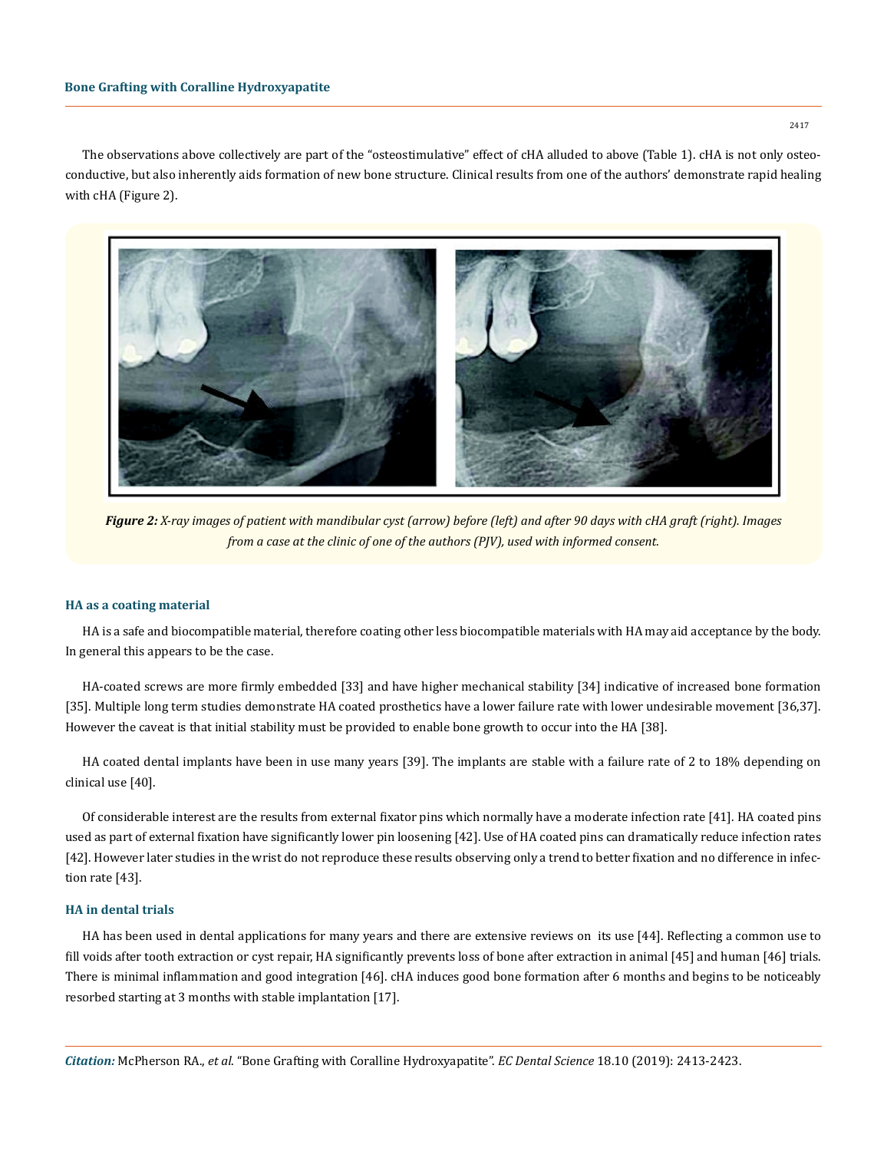The observations above collectively are part of the "osteostimulative" effect of cHA alluded to above (Table 1). cHA is not only osteoconductive, but also inherently aids formation of new bone structure. Clinical results from one of the authors' demonstrate rapid healing with cHA (Figure 2).



*Figure 2: X-ray images of patient with mandibular cyst (arrow) before (left) and after 90 days with cHA graft (right). Images from a case at the clinic of one of the authors (PJV), used with informed consent.*

#### **HA as a coating material**

HA is a safe and biocompatible material, therefore coating other less biocompatible materials with HA may aid acceptance by the body. In general this appears to be the case.

HA-coated screws are more firmly embedded [33] and have higher mechanical stability [34] indicative of increased bone formation [35]. Multiple long term studies demonstrate HA coated prosthetics have a lower failure rate with lower undesirable movement [36,37]. However the caveat is that initial stability must be provided to enable bone growth to occur into the HA [38].

HA coated dental implants have been in use many years [39]. The implants are stable with a failure rate of 2 to 18% depending on clinical use [40].

Of considerable interest are the results from external fixator pins which normally have a moderate infection rate [41]. HA coated pins used as part of external fixation have significantly lower pin loosening [42]. Use of HA coated pins can dramatically reduce infection rates [42]. However later studies in the wrist do not reproduce these results observing only a trend to better fixation and no difference in infection rate [43].

# **HA in dental trials**

HA has been used in dental applications for many years and there are extensive reviews on its use [44]. Reflecting a common use to fill voids after tooth extraction or cyst repair, HA significantly prevents loss of bone after extraction in animal [45] and human [46] trials. There is minimal inflammation and good integration [46]. cHA induces good bone formation after 6 months and begins to be noticeably resorbed starting at 3 months with stable implantation [17].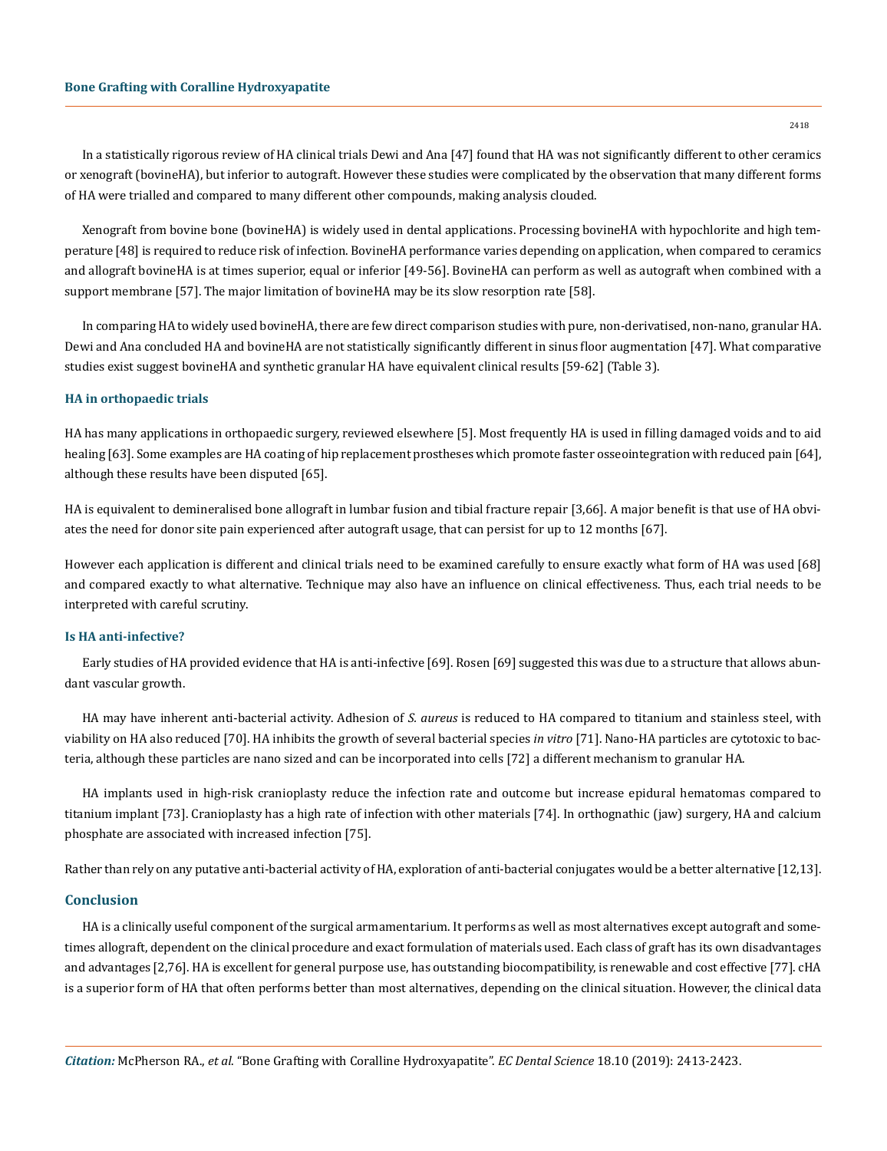2418

In a statistically rigorous review of HA clinical trials Dewi and Ana [47] found that HA was not significantly different to other ceramics or xenograft (bovineHA), but inferior to autograft. However these studies were complicated by the observation that many different forms of HA were trialled and compared to many different other compounds, making analysis clouded.

Xenograft from bovine bone (bovineHA) is widely used in dental applications. Processing bovineHA with hypochlorite and high temperature [48] is required to reduce risk of infection. BovineHA performance varies depending on application, when compared to ceramics and allograft bovineHA is at times superior, equal or inferior [49-56]. BovineHA can perform as well as autograft when combined with a support membrane [57]. The major limitation of bovineHA may be its slow resorption rate [58].

In comparing HA to widely used bovineHA, there are few direct comparison studies with pure, non-derivatised, non-nano, granular HA. Dewi and Ana concluded HA and bovineHA are not statistically significantly different in sinus floor augmentation [47]. What comparative studies exist suggest bovineHA and synthetic granular HA have equivalent clinical results [59-62] (Table 3).

#### **HA in orthopaedic trials**

HA has many applications in orthopaedic surgery, reviewed elsewhere [5]. Most frequently HA is used in filling damaged voids and to aid healing [63]. Some examples are HA coating of hip replacement prostheses which promote faster osseointegration with reduced pain [64], although these results have been disputed [65].

HA is equivalent to demineralised bone allograft in lumbar fusion and tibial fracture repair [3,66]. A major benefit is that use of HA obviates the need for donor site pain experienced after autograft usage, that can persist for up to 12 months [67].

However each application is different and clinical trials need to be examined carefully to ensure exactly what form of HA was used [68] and compared exactly to what alternative. Technique may also have an influence on clinical effectiveness. Thus, each trial needs to be interpreted with careful scrutiny.

#### **Is HA anti-infective?**

Early studies of HA provided evidence that HA is anti-infective [69]. Rosen [69] suggested this was due to a structure that allows abundant vascular growth.

HA may have inherent anti-bacterial activity. Adhesion of *S. aureus* is reduced to HA compared to titanium and stainless steel, with viability on HA also reduced [70]. HA inhibits the growth of several bacterial species *in vitro* [71]. Nano-HA particles are cytotoxic to bacteria, although these particles are nano sized and can be incorporated into cells [72] a different mechanism to granular HA.

HA implants used in high-risk cranioplasty reduce the infection rate and outcome but increase epidural hematomas compared to titanium implant [73]. Cranioplasty has a high rate of infection with other materials [74]. In orthognathic (jaw) surgery, HA and calcium phosphate are associated with increased infection [75].

Rather than rely on any putative anti-bacterial activity of HA, exploration of anti-bacterial conjugates would be a better alternative [12,13].

#### **Conclusion**

HA is a clinically useful component of the surgical armamentarium. It performs as well as most alternatives except autograft and sometimes allograft, dependent on the clinical procedure and exact formulation of materials used. Each class of graft has its own disadvantages and advantages [2,76]. HA is excellent for general purpose use, has outstanding biocompatibility, is renewable and cost effective [77]. cHA is a superior form of HA that often performs better than most alternatives, depending on the clinical situation. However, the clinical data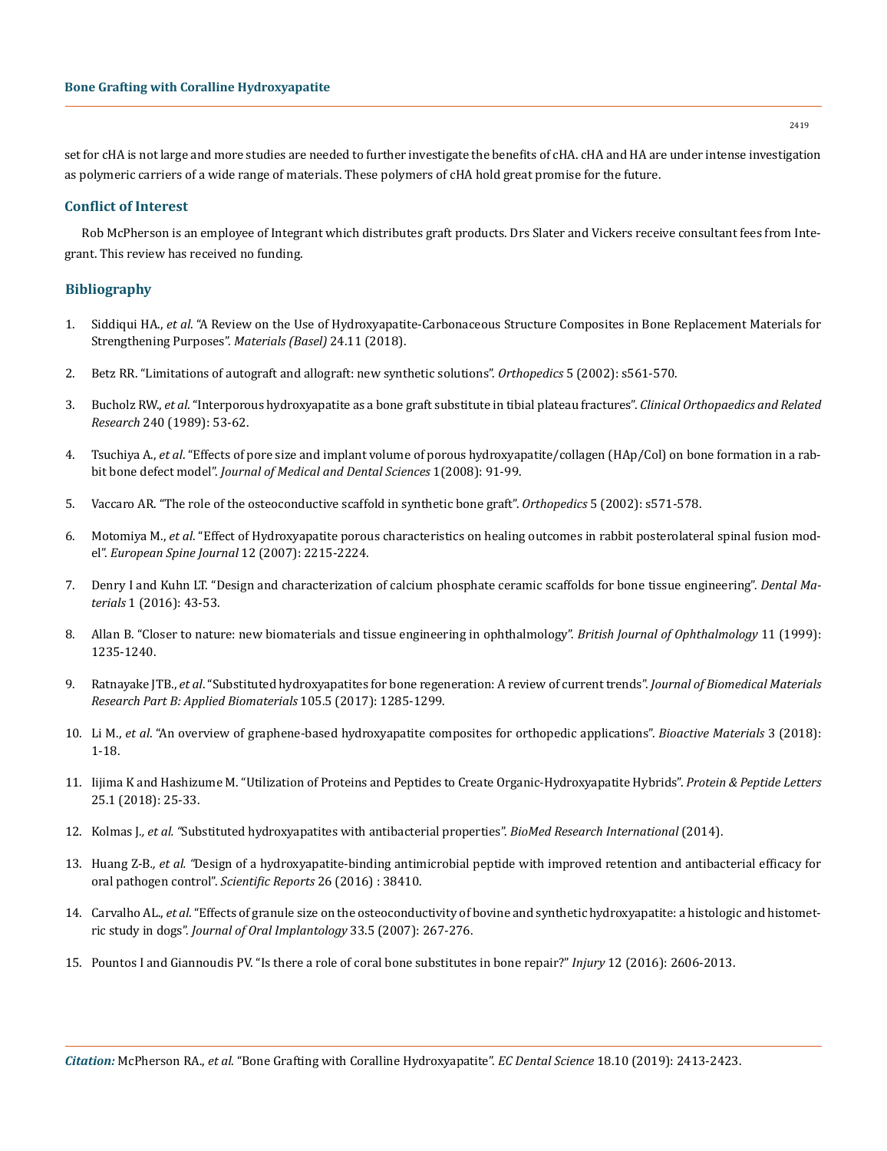set for cHA is not large and more studies are needed to further investigate the benefits of cHA. cHA and HA are under intense investigation as polymeric carriers of a wide range of materials. These polymers of cHA hold great promise for the future.

### **Conflict of Interest**

Rob McPherson is an employee of Integrant which distributes graft products. Drs Slater and Vickers receive consultant fees from Integrant. This review has received no funding.

# **Bibliography**

- 1. Siddiqui HA., *et al*[. "A Review on the Use of Hydroxyapatite-Carbonaceous Structure Composites in Bone Replacement Materials for](https://www.ncbi.nlm.nih.gov/pubmed/30249999) [Strengthening Purposes".](https://www.ncbi.nlm.nih.gov/pubmed/30249999) *Materials (Basel)* 24.11 (2018).
- 2. [Betz RR. "Limitations of autograft and allograft: new synthetic solutions".](https://www.ncbi.nlm.nih.gov/pubmed/12038843) *Orthopedics* 5 (2002): s561-570.
- 3. Bucholz RW., *et al*[. "Interporous hydroxyapatite as a bone graft substitute in tibial plateau fractures".](https://www.ncbi.nlm.nih.gov/pubmed/2537166) *Clinical Orthopaedics and Related Research* [240 \(1989\): 53-62.](https://www.ncbi.nlm.nih.gov/pubmed/2537166)
- 4. Tsuchiya A., *et al*[. "Effects of pore size and implant volume of porous hydroxyapatite/collagen \(HAp/Col\) on bone formation in a rab](https://www.ncbi.nlm.nih.gov/pubmed/19845154)bit bone defect model". *[Journal of Medical and Dental Sciences](https://www.ncbi.nlm.nih.gov/pubmed/19845154)* 1(2008): 91-99.
- 5. [Vaccaro AR. "The role of the osteoconductive scaffold in synthetic bone graft".](https://www.ncbi.nlm.nih.gov/pubmed/12038844) *Orthopedics* 5 (2002): s571-578.
- 6. Motomiya M., *et al*[. "Effect of Hydroxyapatite porous characteristics on healing outcomes in rabbit posterolateral spinal fusion mod](https://www.ncbi.nlm.nih.gov/pubmed/17891422)el". *[European Spine Journal](https://www.ncbi.nlm.nih.gov/pubmed/17891422)* 12 (2007): 2215-2224.
- 7. [Denry I and Kuhn LT. "Design and characterization of calcium phosphate ceramic scaffolds for bone tissue engineering".](https://www.ncbi.nlm.nih.gov/pubmed/26423007) *Dental Materials* [1 \(2016\): 43-53.](https://www.ncbi.nlm.nih.gov/pubmed/26423007)
- 8. [Allan B. "Closer to nature: new biomaterials and tissue engineering in ophthalmology".](https://www.ncbi.nlm.nih.gov/pmc/articles/PMC1722846/) *British Journal of Ophthalmology* 11 (1999): [1235-1240.](https://www.ncbi.nlm.nih.gov/pmc/articles/PMC1722846/)
- 9. Ratnayake JTB., *et al*[. "Substituted hydroxyapatites for bone regeneration: A review of current trends".](https://www.ncbi.nlm.nih.gov/pubmed/26991026) *Journal of Biomedical Materials [Research Part B: Applied Biomaterials](https://www.ncbi.nlm.nih.gov/pubmed/26991026)* 105.5 (2017): 1285-1299.
- 10. Li M., *et al*[. "An overview of graphene-based hydroxyapatite composites for orthopedic applications".](https://www.sciencedirect.com/science/article/pii/S2452199X17300890) *Bioactive Materials* 3 (2018): [1-18.](https://www.sciencedirect.com/science/article/pii/S2452199X17300890)
- 11. [Iijima K and Hashizume M. "Utilization of Proteins and Peptides to Create Organic-Hydroxyapatite Hybrids".](https://www.ncbi.nlm.nih.gov/pubmed/29268681) *Protein & Peptide Letters* [25.1 \(2018\): 25-33.](https://www.ncbi.nlm.nih.gov/pubmed/29268681)
- 12. Kolmas J*., et al. "*[Substituted hydroxyapatites with antibacterial properties".](https://www.hindawi.com/journals/bmri/2014/178123/) *BioMed Research International* (2014).
- 13. Huang Z-B*., et al. "*[Design of a hydroxyapatite-binding antimicrobial peptide with improved retention and antibacterial efficacy for](https://www.nature.com/articles/srep38410)  [oral pathogen control".](https://www.nature.com/articles/srep38410) *Scientific Reports* 26 (2016) : 38410.
- 14. Carvalho AL., *et al*[. "Effects of granule size on the osteoconductivity of bovine and synthetic hydroxyapatite: a histologic and histomet](https://www.ncbi.nlm.nih.gov/pubmed/17987858)ric study in dogs". *[Journal of Oral Implantology](https://www.ncbi.nlm.nih.gov/pubmed/17987858)* 33.5 (2007): 267-276.
- 15. [Pountos I and Giannoudis PV. "Is there a role of coral bone substitutes in bone repair?"](https://www.ncbi.nlm.nih.gov/pubmed/27836254) *Injury* 12 (2016): 2606-2013.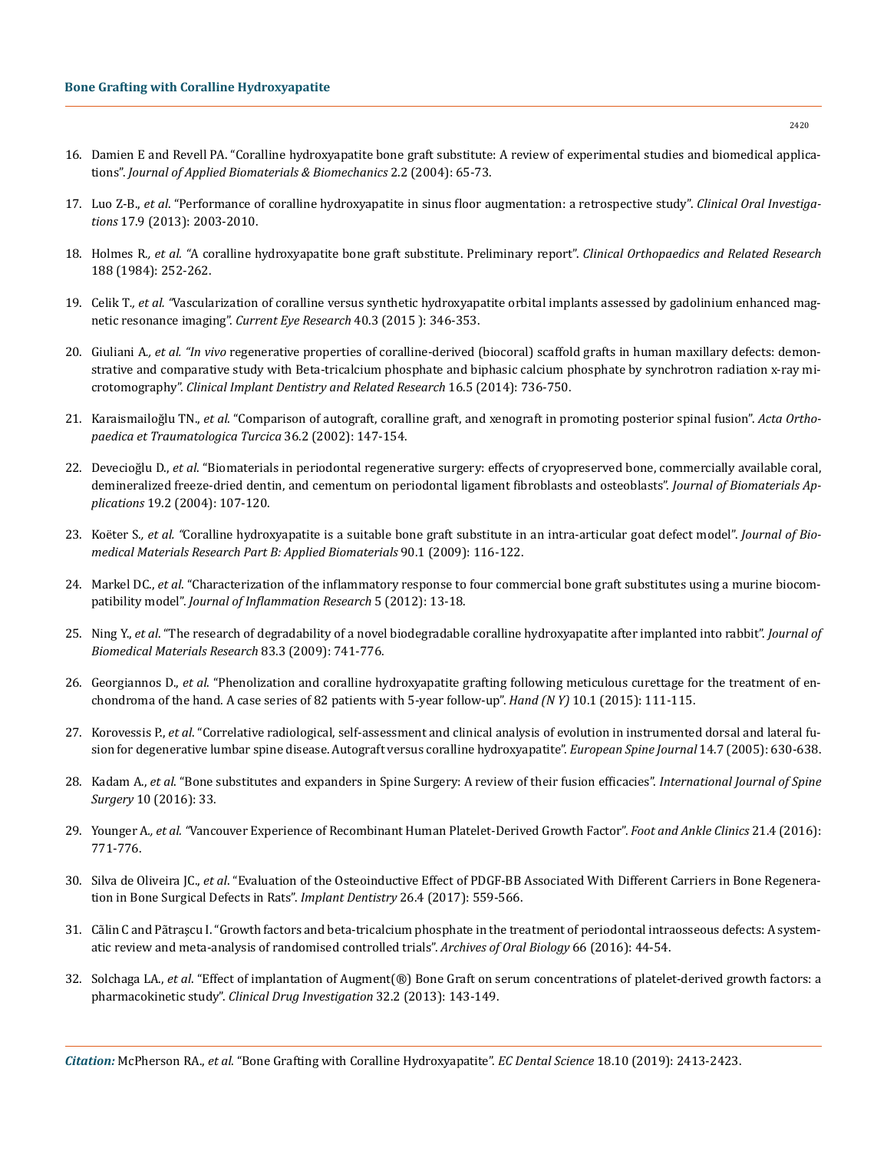- 16. [Damien E and Revell PA. "Coralline hydroxyapatite bone graft substitute: A review of experimental studies and biomedical applica](https://www.ncbi.nlm.nih.gov/pubmed/20803439)tions". *[Journal of Applied Biomaterials & Biomechanics](https://www.ncbi.nlm.nih.gov/pubmed/20803439)* 2.2 (2004): 65-73.
- 17. Luo Z-B., *et al*[. "Performance of coralline hydroxyapatite in sinus floor augmentation: a retrospective study".](https://www.ncbi.nlm.nih.gov/pubmed/23358705) *Clinical Oral Investigations* [17.9 \(2013\): 2003-2010.](https://www.ncbi.nlm.nih.gov/pubmed/23358705)
- 18. Holmes R*., et al. "*[A coralline hydroxyapatite bone graft substitute. Preliminary report".](https://europepmc.org/abstract/med/6147218) *Clinical Orthopaedics and Related Research* [188 \(1984\): 252-262.](https://europepmc.org/abstract/med/6147218)
- 19. Celik T*., et al. "*[Vascularization of coralline versus synthetic hydroxyapatite orbital implants assessed by gadolinium enhanced mag](https://www.ncbi.nlm.nih.gov/pubmed/24871378)[netic resonance imaging".](https://www.ncbi.nlm.nih.gov/pubmed/24871378) *Current Eye Research* 40.3 (2015 ): 346-353.
- 20. Giuliani A*., et al. "In vivo* [regenerative properties of coralline-derived \(biocoral\) scaffold grafts in human maxillary defects: demon](https://www.ncbi.nlm.nih.gov/pubmed/23350548)[strative and comparative study with Beta-tricalcium phosphate and biphasic calcium phosphate by synchrotron radiation x-ray mi](https://www.ncbi.nlm.nih.gov/pubmed/23350548)crotomography". *[Clinical Implant Dentistry and Related Research](https://www.ncbi.nlm.nih.gov/pubmed/23350548)* 16.5 (2014): 736-750.
- 21. Karaismailoğlu TN., *et al*[. "Comparison of autograft, coralline graft, and xenograft in promoting posterior spinal fusion".](https://www.ncbi.nlm.nih.gov/pubmed/12510097) *Acta Ortho[paedica et Traumatologica Turcica](https://www.ncbi.nlm.nih.gov/pubmed/12510097)* 36.2 (2002): 147-154.
- 22. Devecioğlu D., *et al*[. "Biomaterials in periodontal regenerative surgery: effects of cryopreserved bone, commercially available coral,](https://www.ncbi.nlm.nih.gov/pubmed/15381784) [demineralized freeze-dried dentin, and cementum on periodontal ligament fibroblasts and osteoblasts".](https://www.ncbi.nlm.nih.gov/pubmed/15381784) *Journal of Biomaterials Applications* [19.2 \(2004\): 107-120.](https://www.ncbi.nlm.nih.gov/pubmed/15381784)
- 23. Koëter S*., et al. "*[Coralline hydroxyapatite is a suitable bone graft substitute in an intra-articular goat defect model".](https://www.ncbi.nlm.nih.gov/pubmed/19016454) *Journal of Bio[medical Materials Research Part B: Applied Biomaterials](https://www.ncbi.nlm.nih.gov/pubmed/19016454)* 90.1 (2009): 116-122.
- 24. Markel DC., *et al*[. "Characterization of the inflammatory response to four commercial bone graft substitutes using a murine biocom](https://www.ncbi.nlm.nih.gov/pubmed/22334792)patibility model". *[Journal of Inflammation Research](https://www.ncbi.nlm.nih.gov/pubmed/22334792)* 5 (2012): 13-18.
- 25. Ning Y., *et al*[. "The research of degradability of a novel biodegradable coralline hydroxyapatite after implanted into rabbit".](https://www.ncbi.nlm.nih.gov/pubmed/18357581) *Journal of [Biomedical Materials Research](https://www.ncbi.nlm.nih.gov/pubmed/18357581)* 83.3 (2009): 741-776.
- 26. Georgiannos D., *et al*[. "Phenolization and coralline hydroxyapatite grafting following meticulous curettage for the treatment of en](https://www.ncbi.nlm.nih.gov/pubmed/25767429)[chondroma of the hand. A case series of 82 patients with 5-year follow-up".](https://www.ncbi.nlm.nih.gov/pubmed/25767429) *Hand (N Y)* 10.1 (2015): 111-115.
- 27. Korovessis P., *et al*[. "Correlative radiological, self-assessment and clinical analysis of evolution in instrumented dorsal and lateral fu](https://www.ncbi.nlm.nih.gov/pubmed/15789231)[sion for degenerative lumbar spine disease. Autograft versus coralline hydroxyapatite".](https://www.ncbi.nlm.nih.gov/pubmed/15789231) *European Spine Journal* 14.7 (2005): 630-638.
- 28. Kadam A., *et al*[. "Bone substitutes and expanders in Spine Surgery: A review of their fusion efficacies".](https://www.ncbi.nlm.nih.gov/pubmed/27909654) *International Journal of Spine Surgery* [10 \(2016\): 33.](https://www.ncbi.nlm.nih.gov/pubmed/27909654)
- 29. Younger A*., et al. "*[Vancouver Experience of Recombinant Human Platelet-Derived Growth Factor".](https://www.ncbi.nlm.nih.gov/pubmed/27871410) *Foot and Ankle Clinics* 21.4 (2016): [771-776.](https://www.ncbi.nlm.nih.gov/pubmed/27871410)
- 30. Silva de Oliveira JC., *et al*[. "Evaluation of the Osteoinductive Effect of PDGF-BB Associated With Different Carriers in Bone Regenera](https://www.ncbi.nlm.nih.gov/pubmed/28422902)[tion in Bone Surgical Defects in Rats".](https://www.ncbi.nlm.nih.gov/pubmed/28422902) *Implant Dentistry* 26.4 (2017): 559-566.
- 31. [Cãlin C and Pãtraşcu I. "Growth factors and beta-tricalcium phosphate in the treatment of periodontal intraosseous defects: A system](https://www.ncbi.nlm.nih.gov/pubmed/26897256)[atic review and meta-analysis of randomised controlled trials".](https://www.ncbi.nlm.nih.gov/pubmed/26897256) *Archives of Oral Biology* 66 (2016): 44-54.
- 32. Solchaga LA., *et al*[. "Effect of implantation of Augment\(®\) Bone Graft on serum concentrations of platelet-derived growth factors: a](https://www.ncbi.nlm.nih.gov/pubmed/23334906)  pharmacokinetic study". *[Clinical Drug Investigation](https://www.ncbi.nlm.nih.gov/pubmed/23334906)* 32.2 (2013): 143-149.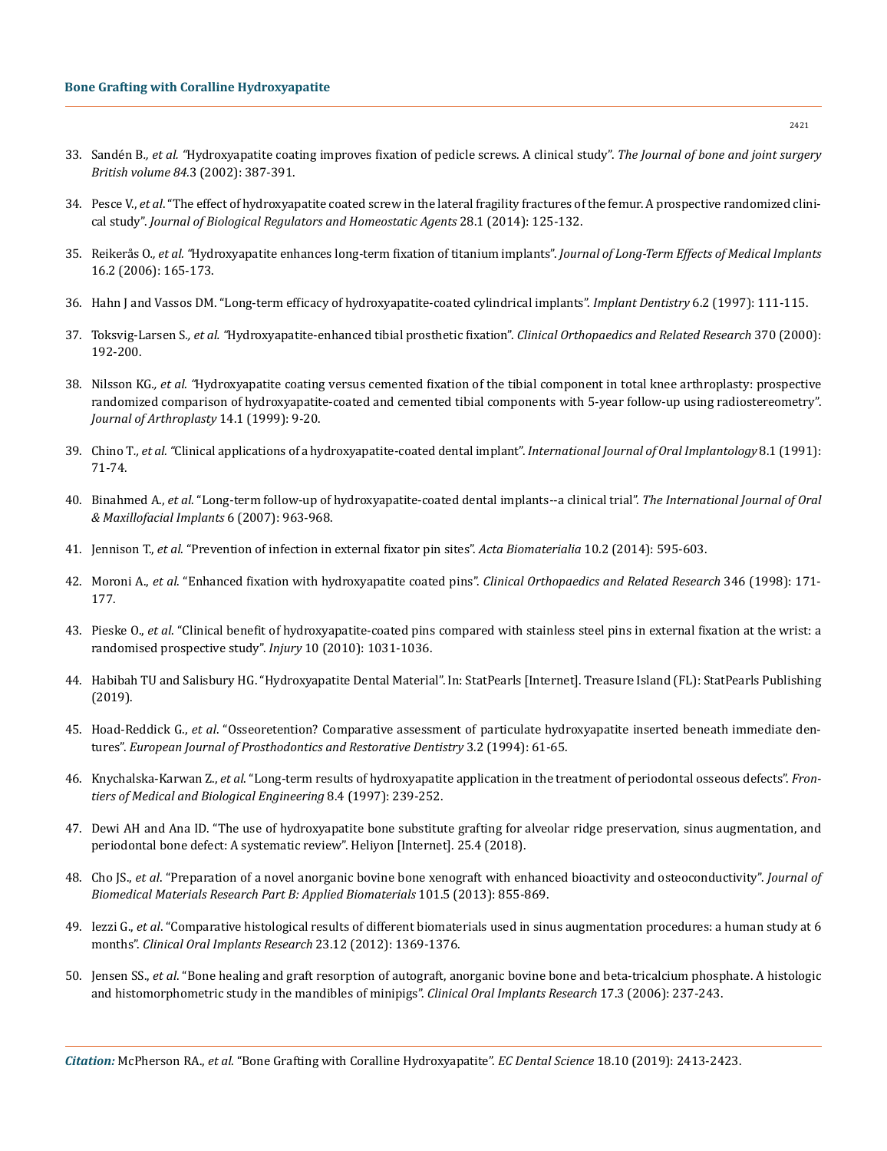- 33. Sandén B*., et al. "*[Hydroxyapatite coating improves fixation of pedicle screws. A clinical study".](https://www.ncbi.nlm.nih.gov/pubmed/12002498) *The Journal of bone and joint surgery [British volume 84.](https://www.ncbi.nlm.nih.gov/pubmed/12002498)*3 (2002): 387-391.
- 34. Pesce V., *et al*[. "The effect of hydroxyapatite coated screw in the lateral fragility fractures of the femur. A prospective randomized clini](https://www.ncbi.nlm.nih.gov/pubmed/24750798)cal study". *[Journal of Biological Regulators and Homeostatic Agents](https://www.ncbi.nlm.nih.gov/pubmed/24750798)* 28.1 (2014): 125-132.
- 35. Reikerås O*., et al. "*[Hydroxyapatite enhances long-term fixation of titanium implants".](https://www.ncbi.nlm.nih.gov/pubmed/16700656) *Journal of Long-Term Effects of Medical Implants* [16.2 \(2006\): 165-173.](https://www.ncbi.nlm.nih.gov/pubmed/16700656)
- 36. [Hahn J and Vassos DM. "Long-term efficacy of hydroxyapatite-coated cylindrical implants".](https://www.ncbi.nlm.nih.gov/pubmed/9545928) *Implant Dentistry* 6.2 (1997): 111-115.
- 37. Toksvig-Larsen S*., et al. "*[Hydroxyapatite-enhanced tibial prosthetic fixation".](https://www.ncbi.nlm.nih.gov/pubmed/10660713) *Clinical Orthopaedics and Related Research* 370 (2000): [192-200.](https://www.ncbi.nlm.nih.gov/pubmed/10660713)
- 38. Nilsson KG*., et al. "*[Hydroxyapatite coating versus cemented fixation of the tibial component in total knee arthroplasty: prospective](https://www.ncbi.nlm.nih.gov/pubmed/9926947) [randomized comparison of hydroxyapatite-coated and cemented tibial components with 5-year follow-up using radiostereometry".](https://www.ncbi.nlm.nih.gov/pubmed/9926947) *[Journal of Arthroplasty](https://www.ncbi.nlm.nih.gov/pubmed/9926947)* 14.1 (1999): 9-20.
- 39. Chino T*., et al. "*[Clinical applications of a hydroxyapatite-coated dental implant".](https://www.semanticscholar.org/paper/Clinical-applications-of-a-hydroxyapatite-coated-Chino-Gotoh/bfbe7cbb9c5df634b430eabbff87872116a9f359) *International Journal of Oral Implantology* 8.1 (1991): [71-74.](https://www.semanticscholar.org/paper/Clinical-applications-of-a-hydroxyapatite-coated-Chino-Gotoh/bfbe7cbb9c5df634b430eabbff87872116a9f359)
- 40. Binahmed A., *et al*[. "Long-term follow-up of hydroxyapatite-coated dental implants--a clinical trial".](https://www.semanticscholar.org/paper/Long-term-follow-up-of-hydroxyapatite-coated-dental-Binahmed-Stoykewych/d411208d7a865ba1a2fffbb37e6d9a7f4ee27653) *The International Journal of Oral [& Maxillofacial Implants](https://www.semanticscholar.org/paper/Long-term-follow-up-of-hydroxyapatite-coated-dental-Binahmed-Stoykewych/d411208d7a865ba1a2fffbb37e6d9a7f4ee27653)* 6 (2007): 963-968.
- 41. Jennison T., *et al*[. "Prevention of infection in external fixator pin sites".](https://www.ncbi.nlm.nih.gov/pubmed/24076071) *Acta Biomaterialia* 10.2 (2014): 595-603.
- 42. Moroni A., *et al*[. "Enhanced fixation with hydroxyapatite coated pins".](https://www.ncbi.nlm.nih.gov/pubmed/9577425) *Clinical Orthopaedics and Related Research* 346 (1998): 171- [177.](https://www.ncbi.nlm.nih.gov/pubmed/9577425)
- 43. Pieske O., et al[. "Clinical benefit of hydroxyapatite-coated pins compared with stainless steel pins in external fixation at the wrist: a](https://www.ncbi.nlm.nih.gov/pubmed/20444448) [randomised prospective study".](https://www.ncbi.nlm.nih.gov/pubmed/20444448) *Injury* 10 (2010): 1031-1036.
- 44. [Habibah TU and Salisbury HG. "Hydroxyapatite Dental Material". In: StatPearls \[Internet\]. Treasure Island \(FL\): StatPearls Publishing](https://www.ncbi.nlm.nih.gov/books/NBK513314/) [\(2019\).](https://www.ncbi.nlm.nih.gov/books/NBK513314/)
- 45. Hoad-Reddick G., *et al*[. "Osseoretention? Comparative assessment of particulate hydroxyapatite inserted beneath immediate den](https://www.ncbi.nlm.nih.gov/pubmed/8605504)tures". *[European Journal of Prosthodontics and Restorative Dentistry](https://www.ncbi.nlm.nih.gov/pubmed/8605504)* 3.2 (1994): 61-65.
- 46. Knychalska-Karwan Z., *et al*[. "Long-term results of hydroxyapatite application in the treatment of periodontal osseous defects".](https://www.ncbi.nlm.nih.gov/pubmed/9801880) *Fron[tiers of Medical and Biological Engineering](https://www.ncbi.nlm.nih.gov/pubmed/9801880)* 8.4 (1997): 239-252.
- 47. [Dewi AH and Ana ID. "The use of hydroxyapatite bone substitute grafting for alveolar ridge preservation, sinus augmentation, and](https://www.ncbi.nlm.nih.gov/pmc/articles/PMC6218667/)  [periodontal bone defect: A systematic review". Heliyon \[Internet\]. 25.4 \(2018\).](https://www.ncbi.nlm.nih.gov/pmc/articles/PMC6218667/)
- 48. Cho JS., *et al*[. "Preparation of a novel anorganic bovine bone xenograft with enhanced bioactivity and osteoconductivity".](https://www.ncbi.nlm.nih.gov/pubmed/23359483) *Journal of [Biomedical Materials Research Part B: Applied Biomaterials](https://www.ncbi.nlm.nih.gov/pubmed/23359483)* 101.5 (2013): 855-869.
- 49. Iezzi G., *et al*[. "Comparative histological results of different biomaterials used in sinus augmentation procedures: a human study at 6](https://www.ncbi.nlm.nih.gov/pubmed/22092377)  months". *[Clinical Oral Implants Research](https://www.ncbi.nlm.nih.gov/pubmed/22092377)* 23.12 (2012): 1369-1376.
- 50. Jensen SS., *et al*[. "Bone healing and graft resorption of autograft, anorganic bovine bone and beta-tricalcium phosphate. A histologic](https://www.ncbi.nlm.nih.gov/pubmed/16672017) [and histomorphometric study in the mandibles of minipigs".](https://www.ncbi.nlm.nih.gov/pubmed/16672017) *Clinical Oral Implants Research* 17.3 (2006): 237-243.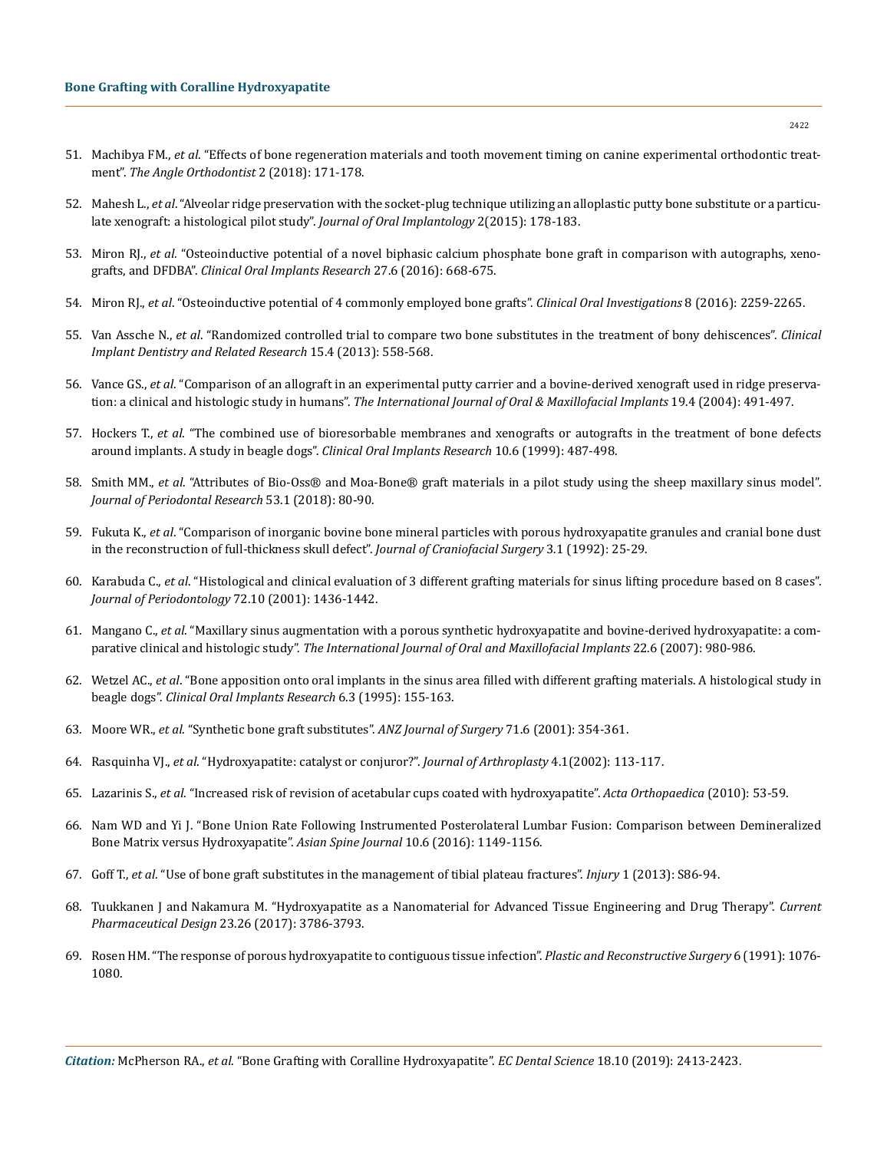- 51. Machibya FM., *et al*[. "Effects of bone regeneration materials and tooth movement timing on canine experimental orthodontic treat](https://www.ncbi.nlm.nih.gov/pubmed/29154676)ment". *[The Angle Orthodontist](https://www.ncbi.nlm.nih.gov/pubmed/29154676)* 2 (2018): 171-178.
- 52. Mahesh L., *et al*[. "Alveolar ridge preservation with the socket-plug technique utilizing an alloplastic putty bone substitute or a particu](https://www.ncbi.nlm.nih.gov/pubmed/23772806)[late xenograft: a histological pilot study".](https://www.ncbi.nlm.nih.gov/pubmed/23772806) *Journal of Oral Implantology* 2(2015): 178-183.
- 53. Miron RJ., *et al*[. "Osteoinductive potential of a novel biphasic calcium phosphate bone graft in comparison with autographs, xeno](https://www.ncbi.nlm.nih.gov/pubmed/26227281)grafts, and DFDBA". *[Clinical Oral Implants Research](https://www.ncbi.nlm.nih.gov/pubmed/26227281)* 27.6 (2016): 668-675.
- 54. Miron RJ., *et al*[. "Osteoinductive potential of 4 commonly employed bone grafts".](https://www.ncbi.nlm.nih.gov/pubmed/26814714) *Clinical Oral Investigations* 8 (2016): 2259-2265.
- 55. Van Assche N., *et al*[. "Randomized controlled trial to compare two bone substitutes in the treatment of bony dehiscences".](https://www.ncbi.nlm.nih.gov/pubmed/22236044) *Clinical [Implant Dentistry and Related Research](https://www.ncbi.nlm.nih.gov/pubmed/22236044)* 15.4 (2013): 558-568.
- 56. Vance GS., *et al*[. "Comparison of an allograft in an experimental putty carrier and a bovine-derived xenograft used in ridge preserva](https://www.ncbi.nlm.nih.gov/pubmed/15346745)tion: a clinical and histologic study in humans". *[The International Journal of Oral & Maxillofacial Implants](https://www.ncbi.nlm.nih.gov/pubmed/15346745)* 19.4 (2004): 491-497.
- 57. Hockers T., *et al*[. "The combined use of bioresorbable membranes and xenografts or autografts in the treatment of bone defects](https://www.ncbi.nlm.nih.gov/pubmed/10740458)  [around implants. A study in beagle dogs".](https://www.ncbi.nlm.nih.gov/pubmed/10740458) *Clinical Oral Implants Research* 10.6 (1999): 487-498.
- 58. Smith MM., *et al*[. "Attributes of Bio-Oss® and Moa-Bone® graft materials in a pilot study using the sheep maxillary sinus model".](https://www.ncbi.nlm.nih.gov/pubmed/28868669) *[Journal of Periodontal Research](https://www.ncbi.nlm.nih.gov/pubmed/28868669)* 53.1 (2018): 80-90.
- 59. Fukuta K., *et al*[. "Comparison of inorganic bovine bone mineral particles with porous hydroxyapatite granules and cranial bone dust](file:///D:/Ecronicon%20PDF%20data/ECOR/ECOR-19-RW-235/ncbi.nlm.nih.gov/pubmed/1391244) [in the reconstruction of full-thickness skull defect".](file:///D:/Ecronicon%20PDF%20data/ECOR/ECOR-19-RW-235/ncbi.nlm.nih.gov/pubmed/1391244) *Journal of Craniofacial Surgery* 3.1 (1992): 25-29.
- 60. Karabuda C., *et al*[. "Histological and clinical evaluation of 3 different grafting materials for sinus lifting procedure based on 8 cases".](https://www.ncbi.nlm.nih.gov/pubmed/11699487)  *[Journal of Periodontology](https://www.ncbi.nlm.nih.gov/pubmed/11699487)* 72.10 (2001): 1436-1442.
- 61. Mangano C., *et al*[. "Maxillary sinus augmentation with a porous synthetic hydroxyapatite and bovine-derived hydroxyapatite: a com](https://www.ncbi.nlm.nih.gov/pubmed/18271380)parative clinical and histologic study". *[The International Journal of Oral and Maxillofacial Implants](https://www.ncbi.nlm.nih.gov/pubmed/18271380)* 22.6 (2007): 980-986.
- 62. Wetzel AC., *et al*[. "Bone apposition onto oral implants in the sinus area filled with different grafting materials. A histological study in](https://www.ncbi.nlm.nih.gov/pubmed/7578791)  beagle dogs". *[Clinical Oral Implants Research](https://www.ncbi.nlm.nih.gov/pubmed/7578791)* 6.3 (1995): 155-163.
- 63. Moore WR., *et al*[. "Synthetic bone graft substitutes".](https://www.ncbi.nlm.nih.gov/pubmed/11409021) *ANZ Journal of Surgery* 71.6 (2001): 354-361.
- 64. Rasquinha VJ., *et al*[. "Hydroxyapatite: catalyst or conjuror?".](https://www.ncbi.nlm.nih.gov/pubmed/12068419) *Journal of Arthroplasty* 4.1(2002): 113-117.
- 65. Lazarinis S., *et al*[. "Increased risk of revision of acetabular cups coated with hydroxyapatite".](https://www.ncbi.nlm.nih.gov/pmc/articles/PMC2856204/) *Acta Orthopaedica* (2010): 53-59.
- 66. [Nam WD and Yi J. "Bone Union Rate Following Instrumented Posterolateral Lumbar Fusion: Comparison between Demineralized](https://www.ncbi.nlm.nih.gov/pmc/articles/PMC5165007/)  [Bone Matrix versus Hydroxyapatite".](https://www.ncbi.nlm.nih.gov/pmc/articles/PMC5165007/) *Asian Spine Journal* 10.6 (2016): 1149-1156.
- 67. Goff T., *et al*[. "Use of bone graft substitutes in the management of tibial plateau fractures".](https://www.ncbi.nlm.nih.gov/pubmed/23351879) *Injury* 1 (2013): S86-94.
- 68. [Tuukkanen J and Nakamura M. "Hydroxyapatite as a Nanomaterial for Advanced Tissue Engineering and Drug Therapy".](https://www.ncbi.nlm.nih.gov/pubmed/28619003) *Current [Pharmaceutical Design](https://www.ncbi.nlm.nih.gov/pubmed/28619003)* 23.26 (2017): 3786-3793.
- 69. [Rosen HM. "The response of porous hydroxyapatite to contiguous tissue infection".](https://www.ncbi.nlm.nih.gov/pubmed/1658838) *Plastic and Reconstructive Surgery* 6 (1991): 1076- [1080.](https://www.ncbi.nlm.nih.gov/pubmed/1658838)